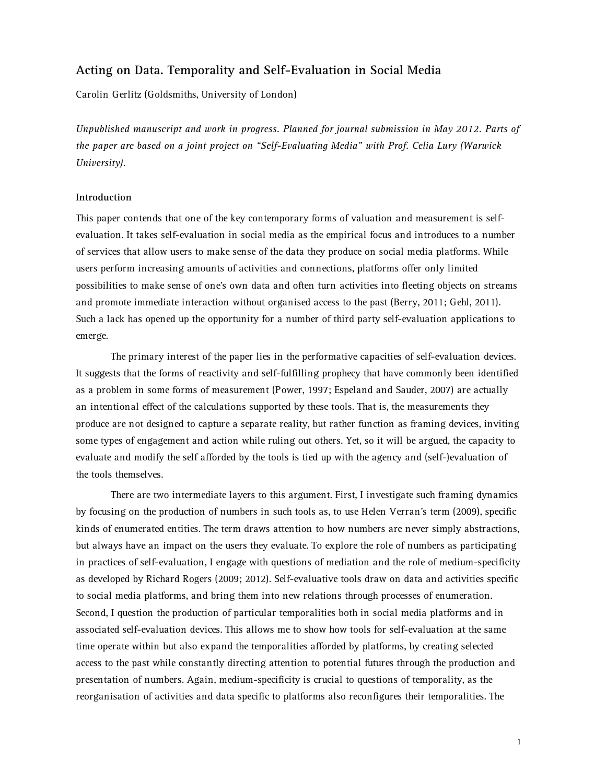# **Acting on Data. Temporality and Self-Evaluation in Social Media**

Carolin Gerlitz (Goldsmiths, University of London)

*Unpublished manuscript and work in progress. Planned for journal submission in May 2012. Parts of the paper are based on a joint project on "Self-Evaluating Media" with Prof. Celia Lury (Warwick University).*

#### **Introduction**

This paper contends that one of the key contemporary forms of valuation and measurement is selfevaluation. It takes self-evaluation in social media as the empirical focus and introduces to a number of services that allow users to make sense of the data they produce on social media platforms. While users perform increasing amounts of activities and connections, platforms offer only limited possibilities to make sense of one's own data and often turn activities into fleeting objects on streams and promote immediate interaction without organised access to the past (Berry, 2011; Gehl, 2011). Such a lack has opened up the opportunity for a number of third party self-evaluation applications to emerge.

The primary interest of the paper lies in the performative capacities of self-evaluation devices. It suggests that the forms of reactivity and self-fulfilling prophecy that have commonly been identified as a problem in some forms of measurement (Power, 1997; Espeland and Sauder, 2007) are actually an intentional effect of the calculations supported by these tools. That is, the measurements they produce are not designed to capture a separate reality, but rather function as framing devices, inviting some types of engagement and action while ruling out others. Yet, so it will be argued, the capacity to evaluate and modify the self afforded by the tools is tied up with the agency and (self-)evaluation of the tools themselves.

There are two intermediate layers to this argument. First, I investigate such framing dynamics by focusing on the production of numbers in such tools as, to use Helen Verran's term (2009), specific kinds of enumerated entities. The term draws attention to how numbers are never simply abstractions, but always have an impact on the users they evaluate. To explore the role of numbers as participating in practices of self-evaluation, I engage with questions of mediation and the role of medium-specificity as developed by Richard Rogers (2009; 2012). Self-evaluative tools draw on data and activities specific to social media platforms, and bring them into new relations through processes of enumeration. Second, I question the production of particular temporalities both in social media platforms and in associated self-evaluation devices. This allows me to show how tools for self-evaluation at the same time operate within but also expand the temporalities afforded by platforms, by creating selected access to the past while constantly directing attention to potential futures through the production and presentation of numbers. Again, medium-specificity is crucial to questions of temporality, as the reorganisation of activities and data specific to platforms also reconfigures their temporalities. The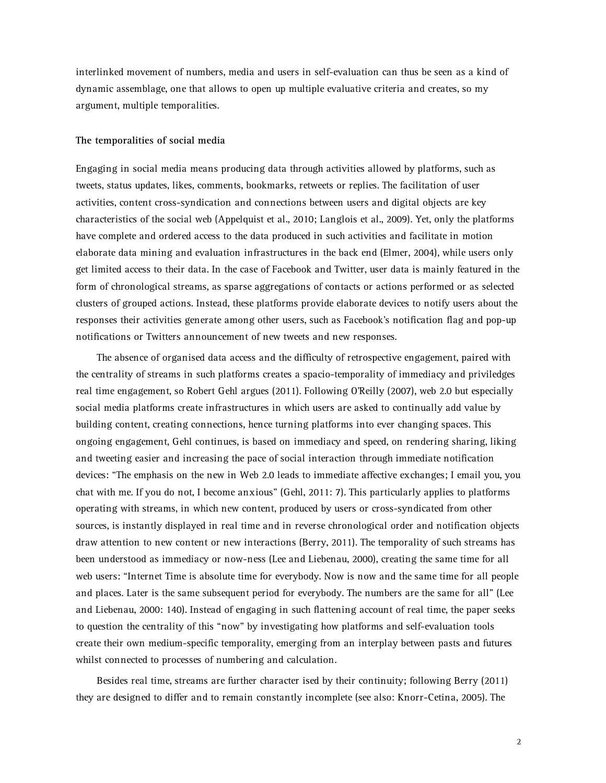interlinked movement of numbers, media and users in self-evaluation can thus be seen as a kind of dynamic assemblage, one that allows to open up multiple evaluative criteria and creates, so my argument, multiple temporalities.

### **The temporalities of social media**

Engaging in social media means producing data through activities allowed by platforms, such as tweets, status updates, likes, comments, bookmarks, retweets or replies. The facilitation of user activities, content cross-syndication and connections between users and digital objects are key characteristics of the social web (Appelquist et al., 2010; Langlois et al., 2009). Yet, only the platforms have complete and ordered access to the data produced in such activities and facilitate in motion elaborate data mining and evaluation infrastructures in the back end (Elmer, 2004), while users only get limited access to their data. In the case of Facebook and Twitter, user data is mainly featured in the form of chronological streams, as sparse aggregations of contacts or actions performed or as selected clusters of grouped actions. Instead, these platforms provide elaborate devices to notify users about the responses their activities generate among other users, such as Facebook's notification flag and pop-up notifications or Twitters announcement of new tweets and new responses.

The absence of organised data access and the difficulty of retrospective engagement, paired with the centrality of streams in such platforms creates a spacio-temporality of immediacy and priviledges real time engagement, so Robert Gehl argues (2011). Following O'Reilly (2007), web 2.0 but especially social media platforms create infrastructures in which users are asked to continually add value by building content, creating connections, hence turning platforms into ever changing spaces. This ongoing engagement, Gehl continues, is based on immediacy and speed, on rendering sharing, liking and tweeting easier and increasing the pace of social interaction through immediate notification devices: "The emphasis on the new in Web 2.0 leads to immediate affective exchanges; I email you, you chat with me. If you do not, I become anxious" (Gehl, 2011: 7). This particularly applies to platforms operating with streams, in which new content, produced by users or cross-syndicated from other sources, is instantly displayed in real time and in reverse chronological order and notification objects draw attention to new content or new interactions (Berry, 2011). The temporality of such streams has been understood as immediacy or now-ness (Lee and Liebenau, 2000), creating the same time for all web users: "Internet Time is absolute time for everybody. Now is now and the same time for all people and places. Later is the same subsequent period for everybody. The numbers are the same for all" (Lee and Liebenau, 2000: 140). Instead of engaging in such flattening account of real time, the paper seeks to question the centrality of this "now" by investigating how platforms and self-evaluation tools create their own medium-specific temporality, emerging from an interplay between pasts and futures whilst connected to processes of numbering and calculation.

Besides real time, streams are further character ised by their continuity; following Berry (2011) they are designed to differ and to remain constantly incomplete (see also: Knorr-Cetina, 2005). The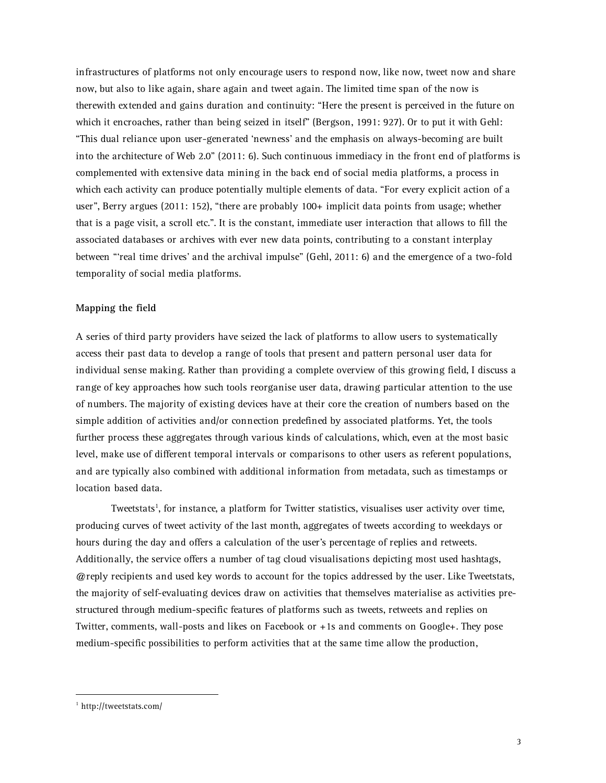infrastructures of platforms not only encourage users to respond now, like now, tweet now and share now, but also to like again, share again and tweet again. The limited time span of the now is therewith extended and gains duration and continuity: "Here the present is perceived in the future on which it encroaches, rather than being seized in itself" (Bergson, 1991: 927). Or to put it with Gehl: "This dual reliance upon user-generated 'newness' and the emphasis on always-becoming are built into the architecture of Web 2.0" (2011: 6). Such continuous immediacy in the front end of platforms is complemented with extensive data mining in the back end of social media platforms, a process in which each activity can produce potentially multiple elements of data. "For every explicit action of a user", Berry argues (2011: 152), "there are probably 100+ implicit data points from usage; whether that is a page visit, a scroll etc.". It is the constant, immediate user interaction that allows to fill the associated databases or archives with ever new data points, contributing to a constant interplay between "'real time drives' and the archival impulse" (Gehl, 2011: 6) and the emergence of a two-fold temporality of social media platforms.

### **Mapping the field**

A series of third party providers have seized the lack of platforms to allow users to systematically access their past data to develop a range of tools that present and pattern personal user data for individual sense making. Rather than providing a complete overview of this growing field, I discuss a range of key approaches how such tools reorganise user data, drawing particular attention to the use of numbers. The majority of existing devices have at their core the creation of numbers based on the simple addition of activities and/or connection predefined by associated platforms. Yet, the tools further process these aggregates through various kinds of calculations, which, even at the most basic level, make use of different temporal intervals or comparisons to other users as referent populations, and are typically also combined with additional information from metadata, such as timestamps or location based data.

Tweetstats<sup>1</sup>, for instance, a platform for Twitter statistics, visualises user activity over time, producing curves of tweet activity of the last month, aggregates of tweets according to weekdays or hours during the day and offers a calculation of the user's percentage of replies and retweets. Additionally, the service offers a number of tag cloud visualisations depicting most used hashtags, @reply recipients and used key words to account for the topics addressed by the user. Like Tweetstats, the majority of self-evaluating devices draw on activities that themselves materialise as activities prestructured through medium-specific features of platforms such as tweets, retweets and replies on Twitter, comments, wall-posts and likes on Facebook or +1s and comments on Google+. They pose medium-specific possibilities to perform activities that at the same time allow the production,

 <sup>1</sup> http://tweetstats.com/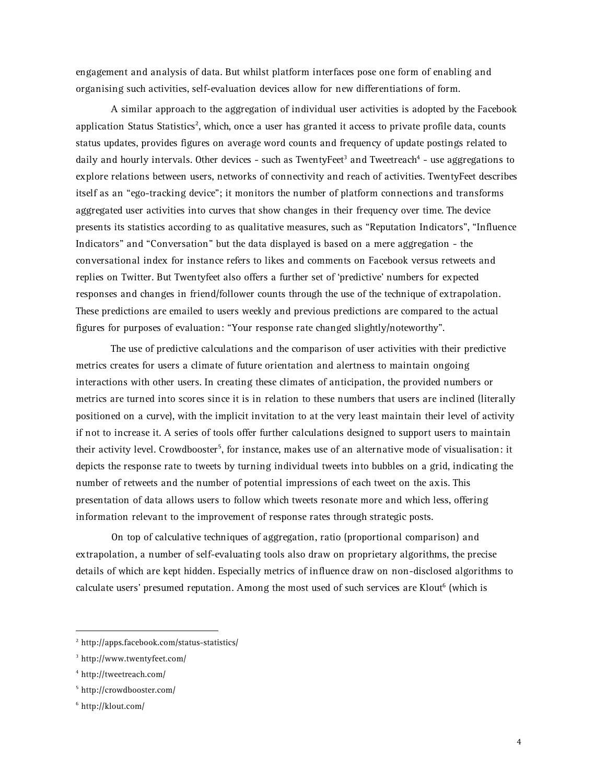engagement and analysis of data. But whilst platform interfaces pose one form of enabling and organising such activities, self-evaluation devices allow for new differentiations of form.

A similar approach to the aggregation of individual user activities is adopted by the Facebook application Status Statistics<sup>2</sup>, which, once a user has granted it access to private profile data, counts status updates, provides figures on average word counts and frequency of update postings related to daily and hourly intervals. Other devices - such as TwentyFeet<sup>3</sup> and Tweetreach<sup>4</sup> - use aggregations to explore relations between users, networks of connectivity and reach of activities. TwentyFeet describes itself as an "ego-tracking device"; it monitors the number of platform connections and transforms aggregated user activities into curves that show changes in their frequency over time. The device presents its statistics according to as qualitative measures, such as "Reputation Indicators", "Influence Indicators" and "Conversation" but the data displayed is based on a mere aggregation - the conversational index for instance refers to likes and comments on Facebook versus retweets and replies on Twitter. But Twentyfeet also offers a further set of 'predictive' numbers for expected responses and changes in friend/follower counts through the use of the technique of extrapolation. These predictions are emailed to users weekly and previous predictions are compared to the actual figures for purposes of evaluation: "Your response rate changed slightly/noteworthy".

The use of predictive calculations and the comparison of user activities with their predictive metrics creates for users a climate of future orientation and alertness to maintain ongoing interactions with other users. In creating these climates of anticipation, the provided numbers or metrics are turned into scores since it is in relation to these numbers that users are inclined (literally positioned on a curve), with the implicit invitation to at the very least maintain their level of activity if not to increase it. A series of tools offer further calculations designed to support users to maintain their activity level. Crowdbooster<sup>5</sup>, for instance, makes use of an alternative mode of visualisation: it depicts the response rate to tweets by turning individual tweets into bubbles on a grid, indicating the number of retweets and the number of potential impressions of each tweet on the axis. This presentation of data allows users to follow which tweets resonate more and which less, offering information relevant to the improvement of response rates through strategic posts.

On top of calculative techniques of aggregation, ratio (proportional comparison) and extrapolation, a number of self-evaluating tools also draw on proprietary algorithms, the precise details of which are kept hidden. Especially metrics of influence draw on non-disclosed algorithms to calculate users' presumed reputation. Among the most used of such services are Klout<sup>6</sup> (which is

 <sup>2</sup> http://apps.facebook.com/status-statistics/

<sup>3</sup> http://www.twentyfeet.com/

<sup>4</sup> http://tweetreach.com/

<sup>5</sup> http://crowdbooster.com/

<sup>6</sup> http://klout.com/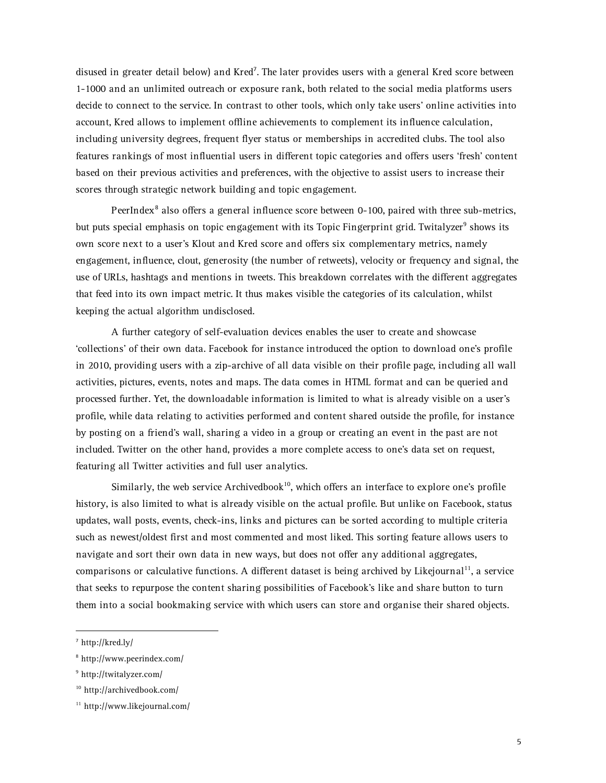disused in greater detail below) and Kred<sup>7</sup>. The later provides users with a general Kred score between 1-1000 and an unlimited outreach or exposure rank, both related to the social media platforms users decide to connect to the service. In contrast to other tools, which only take users' online activities into account, Kred allows to implement offline achievements to complement its influence calculation, including university degrees, frequent flyer status or memberships in accredited clubs. The tool also features rankings of most influential users in different topic categories and offers users 'fresh' content based on their previous activities and preferences, with the objective to assist users to increase their scores through strategic network building and topic engagement.

PeerIndex<sup>8</sup> also offers a general influence score between 0-100, paired with three sub-metrics, but puts special emphasis on topic engagement with its Topic Fingerprint grid. Twitalyzer<sup>9</sup> shows its own score next to a user's Klout and Kred score and offers six complementary metrics, namely engagement, influence, clout, generosity (the number of retweets), velocity or frequency and signal, the use of URLs, hashtags and mentions in tweets. This breakdown correlates with the different aggregates that feed into its own impact metric. It thus makes visible the categories of its calculation, whilst keeping the actual algorithm undisclosed.

A further category of self-evaluation devices enables the user to create and showcase 'collections' of their own data. Facebook for instance introduced the option to download one's profile in 2010, providing users with a zip-archive of all data visible on their profile page, including all wall activities, pictures, events, notes and maps. The data comes in HTML format and can be queried and processed further. Yet, the downloadable information is limited to what is already visible on a user's profile, while data relating to activities performed and content shared outside the profile, for instance by posting on a friend's wall, sharing a video in a group or creating an event in the past are not included. Twitter on the other hand, provides a more complete access to one's data set on request, featuring all Twitter activities and full user analytics.

Similarly, the web service Archivedbook<sup>10</sup>, which offers an interface to explore one's profile history, is also limited to what is already visible on the actual profile. But unlike on Facebook, status updates, wall posts, events, check-ins, links and pictures can be sorted according to multiple criteria such as newest/oldest first and most commented and most liked. This sorting feature allows users to navigate and sort their own data in new ways, but does not offer any additional aggregates, comparisons or calculative functions. A different dataset is being archived by Likejournal<sup>11</sup>, a service that seeks to repurpose the content sharing possibilities of Facebook's like and share button to turn them into a social bookmaking service with which users can store and organise their shared objects.

 <sup>7</sup> http://kred.ly/

<sup>8</sup> http://www.peerindex.com/

<sup>9</sup> http://twitalyzer.com/

<sup>10</sup> http://archivedbook.com/

<sup>11</sup> http://www.likejournal.com/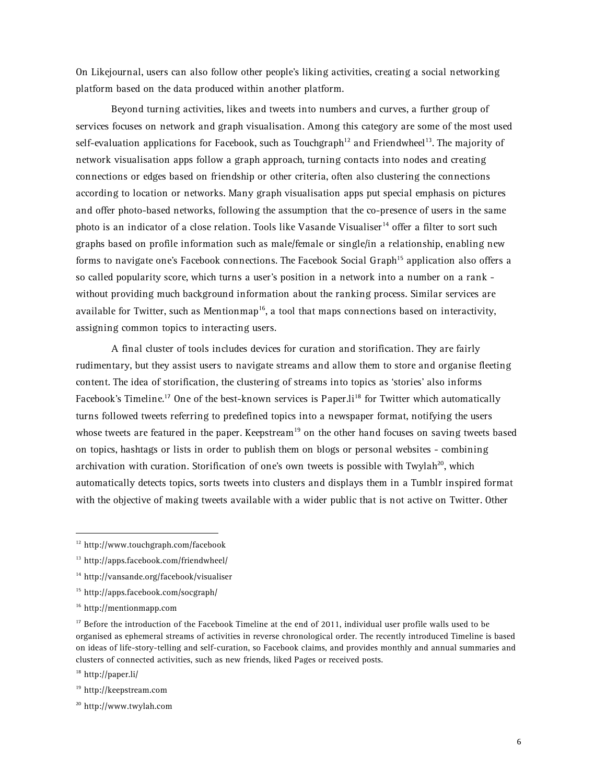On Likejournal, users can also follow other people's liking activities, creating a social networking platform based on the data produced within another platform.

Beyond turning activities, likes and tweets into numbers and curves, a further group of services focuses on network and graph visualisation. Among this category are some of the most used self-evaluation applications for Facebook, such as Touchgraph<sup>12</sup> and Friendwheel<sup>13</sup>. The majority of network visualisation apps follow a graph approach, turning contacts into nodes and creating connections or edges based on friendship or other criteria, often also clustering the connections according to location or networks. Many graph visualisation apps put special emphasis on pictures and offer photo-based networks, following the assumption that the co-presence of users in the same photo is an indicator of a close relation. Tools like Vasande Visualiser<sup>14</sup> offer a filter to sort such graphs based on profile information such as male/female or single/in a relationship, enabling new forms to navigate one's Facebook connections. The Facebook Social Graph<sup>15</sup> application also offers a so called popularity score, which turns a user's position in a network into a number on a rank without providing much background information about the ranking process. Similar services are available for Twitter, such as Mentionmap<sup>16</sup>, a tool that maps connections based on interactivity, assigning common topics to interacting users.

A final cluster of tools includes devices for curation and storification. They are fairly rudimentary, but they assist users to navigate streams and allow them to store and organise fleeting content. The idea of storification, the clustering of streams into topics as 'stories' also informs Facebook's Timeline.<sup>17</sup> One of the best-known services is Paper.li<sup>18</sup> for Twitter which automatically turns followed tweets referring to predefined topics into a newspaper format, notifying the users whose tweets are featured in the paper. Keepstream<sup>19</sup> on the other hand focuses on saving tweets based on topics, hashtags or lists in order to publish them on blogs or personal websites - combining archivation with curation. Storification of one's own tweets is possible with Twylah<sup>20</sup>, which automatically detects topics, sorts tweets into clusters and displays them in a Tumblr inspired format with the objective of making tweets available with a wider public that is not active on Twitter. Other

 <sup>12</sup> http://www.touchgraph.com/facebook

<sup>13</sup> http://apps.facebook.com/friendwheel/

<sup>14</sup> http://vansande.org/facebook/visualiser

<sup>15</sup> http://apps.facebook.com/socgraph/

<sup>16</sup> http://mentionmapp.com

 $17$  Before the introduction of the Facebook Timeline at the end of 2011, individual user profile walls used to be organised as ephemeral streams of activities in reverse chronological order. The recently introduced Timeline is based on ideas of life-story-telling and self-curation, so Facebook claims, and provides monthly and annual summaries and clusters of connected activities, such as new friends, liked Pages or received posts.

<sup>18</sup> http://paper.li/

<sup>19</sup> http://keepstream.com

<sup>20</sup> http://www.twylah.com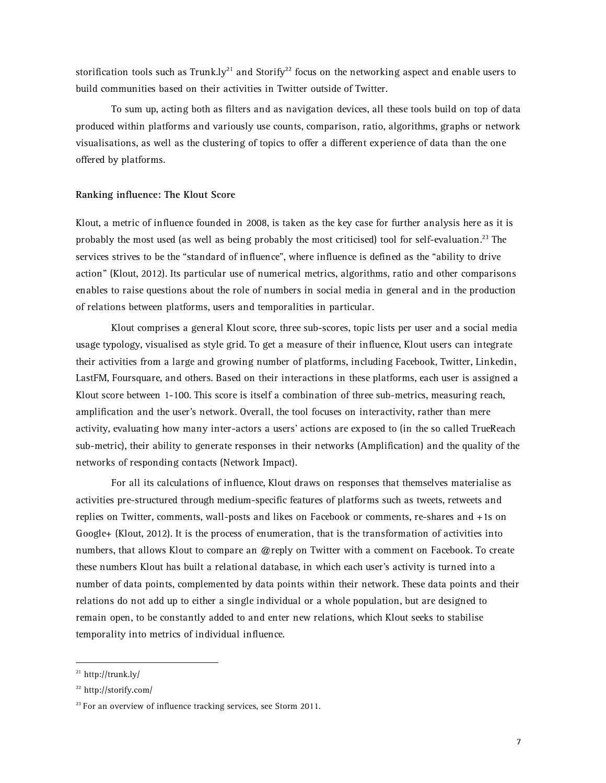storification tools such as Trunk.ly<sup>21</sup> and Storify<sup>22</sup> focus on the networking aspect and enable users to build communities based on their activities in Twitter outside of Twitter.

To sum up, acting both as filters and as navigation devices, all these tools build on top of data produced within platforms and variously use counts, comparison, ratio, algorithms, graphs or network visualisations, as well as the clustering of topics to offer a different experience of data than the one offered by platforms.

# **Ranking influence: The Klout Score**

Klout, a metric of influence founded in 2008, is taken as the key case for further analysis here as it is probably the most used (as well as being probably the most criticised) tool for self-evaluation.<sup>23</sup> The services strives to be the "standard of influence", where influence is defined as the "ability to drive action" (Klout, 2012). Its particular use of numerical metrics, algorithms, ratio and other comparisons enables to raise questions about the role of numbers in social media in general and in the production of relations between platforms, users and temporalities in particular.

Klout comprises a general Klout score, three sub-scores, topic lists per user and a social media usage typology, visualised as style grid. To get a measure of their influence, Klout users can integrate their activities from a large and growing number of platforms, including Facebook, Twitter, Linkedin, LastFM, Foursquare, and others. Based on their interactions in these platforms, each user is assigned a Klout score between 1-100. This score is itself a combination of three sub-metrics, measuring reach, amplification and the user's network. Overall, the tool focuses on interactivity, rather than mere activity, evaluating how many inter-actors a users' actions are exposed to (in the so called TrueReach sub-metric), their ability to generate responses in their networks (Amplification) and the quality of the networks of responding contacts (Network Impact).

For all its calculations of influence, Klout draws on responses that themselves materialise as activities pre-structured through medium-specific features of platforms such as tweets, retweets and replies on Twitter, comments, wall-posts and likes on Facebook or comments, re-shares and +1s on Google+ (Klout, 2012). It is the process of enumeration, that is the transformation of activities into numbers, that allows Klout to compare an @reply on Twitter with a comment on Facebook. To create these numbers Klout has built a relational database, in which each user's activity is turned into a number of data points, complemented by data points within their network. These data points and their relations do not add up to either a single individual or a whole population, but are designed to remain open, to be constantly added to and enter new relations, which Klout seeks to stabilise temporality into metrics of individual influence.

 $^{21}$  http://trunk.ly/

<sup>22</sup> http://storify.com/

 $23$  For an overview of influence tracking services, see Storm 2011.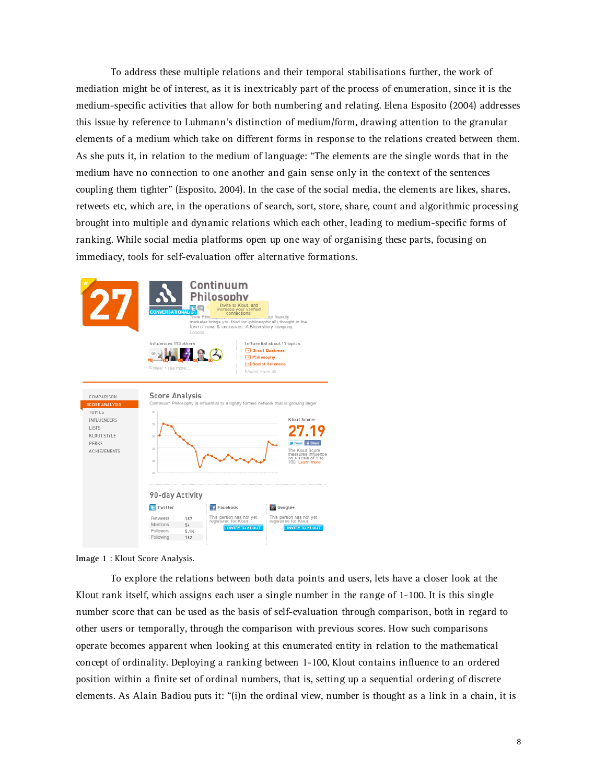To address these multiple relations and their temporal stabilisations further, the work of mediation might be of interest, as it is inextricably part of the process of enumeration, since it is the medium-specific activities that allow for both numbering and relating. Elena Esposito (2004) addresses this issue by reference to Luhmann's distinction of medium/form, drawing attention to the granular elements of a medium which take on different forms in response to the relations created between them. As she puts it, in relation to the medium of language: "The elements are the single words that in the medium have no connection to one another and gain sense only in the context of the sentences coupling them tighter" (Esposito, 2004). In the case of the social media, the elements are likes, shares, retweets etc, which are, in the operations of search, sort, store, share, count and algorithmic processing brought into multiple and dynamic relations which each other, leading to medium-specific forms of ranking. While social media platforms open up one way of organising these parts, focusing on immediacy, tools for self-evaluation offer alternative formations.



**Image 1** : Klout Score Analysis.

To explore the relations between both data points and users, lets have a closer look at the Klout rank itself, which assigns each user a single number in the range of 1-100. It is this single number score that can be used as the basis of self-evaluation through comparison, both in regard to other users or temporally, through the comparison with previous scores. How such comparisons operate becomes apparent when looking at this enumerated entity in relation to the mathematical concept of ordinality. Deploying a ranking between 1-100, Klout contains influence to an ordered position within a finite set of ordinal numbers, that is, setting up a sequential ordering of discrete elements. As Alain Badiou puts it: "(i)n the ordinal view, number is thought as a link in a chain, it is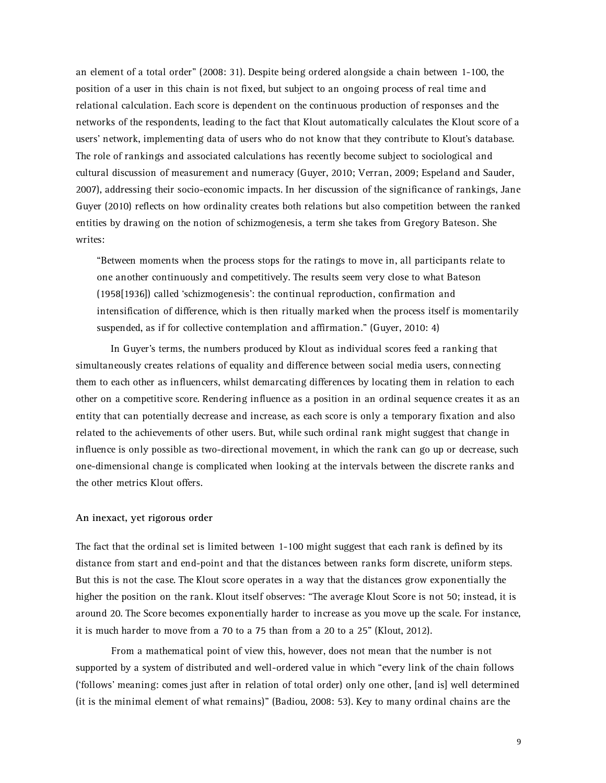an element of a total order" (2008: 31). Despite being ordered alongside a chain between 1-100, the position of a user in this chain is not fixed, but subject to an ongoing process of real time and relational calculation. Each score is dependent on the continuous production of responses and the networks of the respondents, leading to the fact that Klout automatically calculates the Klout score of a users' network, implementing data of users who do not know that they contribute to Klout's database. The role of rankings and associated calculations has recently become subject to sociological and cultural discussion of measurement and numeracy (Guyer, 2010; Verran, 2009; Espeland and Sauder, 2007), addressing their socio-economic impacts. In her discussion of the significance of rankings, Jane Guyer (2010) reflects on how ordinality creates both relations but also competition between the ranked entities by drawing on the notion of schizmogenesis, a term she takes from Gregory Bateson. She writes:

"Between moments when the process stops for the ratings to move in, all participants relate to one another continuously and competitively. The results seem very close to what Bateson (1958[1936]) called 'schizmogenesis': the continual reproduction, confirmation and intensification of difference, which is then ritually marked when the process itself is momentarily suspended, as if for collective contemplation and affirmation." (Guyer, 2010: 4)

In Guyer's terms, the numbers produced by Klout as individual scores feed a ranking that simultaneously creates relations of equality and difference between social media users, connecting them to each other as influencers, whilst demarcating differences by locating them in relation to each other on a competitive score. Rendering influence as a position in an ordinal sequence creates it as an entity that can potentially decrease and increase, as each score is only a temporary fixation and also related to the achievements of other users. But, while such ordinal rank might suggest that change in influence is only possible as two-directional movement, in which the rank can go up or decrease, such one-dimensional change is complicated when looking at the intervals between the discrete ranks and the other metrics Klout offers.

#### **An inexact, yet rigorous order**

The fact that the ordinal set is limited between 1-100 might suggest that each rank is defined by its distance from start and end-point and that the distances between ranks form discrete, uniform steps. But this is not the case. The Klout score operates in a way that the distances grow exponentially the higher the position on the rank. Klout itself observes: "The average Klout Score is not 50; instead, it is around 20. The Score becomes exponentially harder to increase as you move up the scale. For instance, it is much harder to move from a 70 to a 75 than from a 20 to a 25" (Klout, 2012).

From a mathematical point of view this, however, does not mean that the number is not supported by a system of distributed and well-ordered value in which "every link of the chain follows ('follows' meaning: comes just after in relation of total order) only one other, [and is] well determined (it is the minimal element of what remains)" (Badiou, 2008: 53). Key to many ordinal chains are the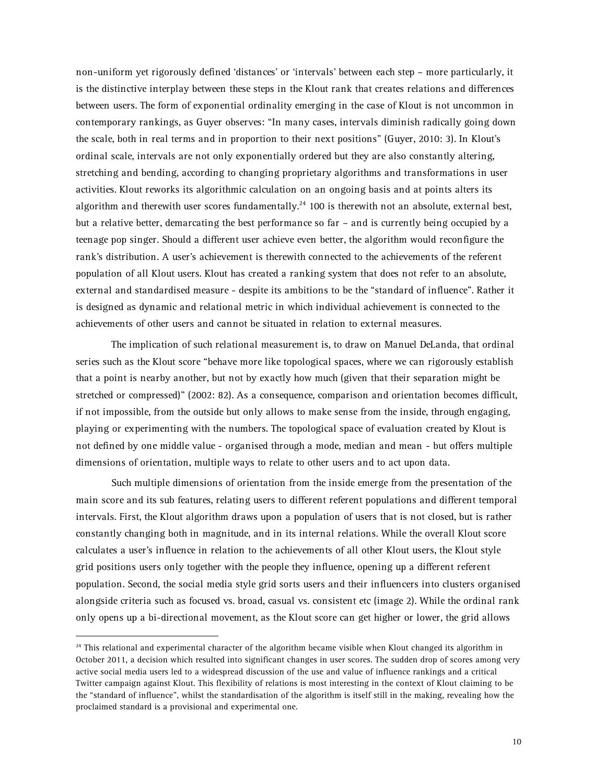non-uniform yet rigorously defined 'distances' or 'intervals' between each step – more particularly, it is the distinctive interplay between these steps in the Klout rank that creates relations and differences between users. The form of exponential ordinality emerging in the case of Klout is not uncommon in contemporary rankings, as Guyer observes: "In many cases, intervals diminish radically going down the scale, both in real terms and in proportion to their next positions" (Guyer, 2010: 3). In Klout's ordinal scale, intervals are not only exponentially ordered but they are also constantly altering, stretching and bending, according to changing proprietary algorithms and transformations in user activities. Klout reworks its algorithmic calculation on an ongoing basis and at points alters its algorithm and therewith user scores fundamentally.<sup>24</sup> 100 is therewith not an absolute, external best, but a relative better, demarcating the best performance so far – and is currently being occupied by a teenage pop singer. Should a different user achieve even better, the algorithm would reconfigure the rank's distribution. A user's achievement is therewith connected to the achievements of the referent population of all Klout users. Klout has created a ranking system that does not refer to an absolute, external and standardised measure - despite its ambitions to be the "standard of influence". Rather it is designed as dynamic and relational metric in which individual achievement is connected to the achievements of other users and cannot be situated in relation to external measures.

The implication of such relational measurement is, to draw on Manuel DeLanda, that ordinal series such as the Klout score "behave more like topological spaces, where we can rigorously establish that a point is nearby another, but not by exactly how much (given that their separation might be stretched or compressed)" (2002: 82). As a consequence, comparison and orientation becomes difficult, if not impossible, from the outside but only allows to make sense from the inside, through engaging, playing or experimenting with the numbers. The topological space of evaluation created by Klout is not defined by one middle value - organised through a mode, median and mean - but offers multiple dimensions of orientation, multiple ways to relate to other users and to act upon data.

Such multiple dimensions of orientation from the inside emerge from the presentation of the main score and its sub features, relating users to different referent populations and different temporal intervals. First, the Klout algorithm draws upon a population of users that is not closed, but is rather constantly changing both in magnitude, and in its internal relations. While the overall Klout score calculates a user's influence in relation to the achievements of all other Klout users, the Klout style grid positions users only together with the people they influence, opening up a different referent population. Second, the social media style grid sorts users and their influencers into clusters organised alongside criteria such as focused vs. broad, casual vs. consistent etc (image 2). While the ordinal rank only opens up a bi-directional movement, as the Klout score can get higher or lower, the grid allows

 $24$  This relational and experimental character of the algorithm became visible when Klout changed its algorithm in October 2011, a decision which resulted into significant changes in user scores. The sudden drop of scores among very active social media users led to a widespread discussion of the use and value of influence rankings and a critical Twitter campaign against Klout. This flexibility of relations is most interesting in the context of Klout claiming to be the "standard of influence", whilst the standardisation of the algorithm is itself still in the making, revealing how the proclaimed standard is a provisional and experimental one.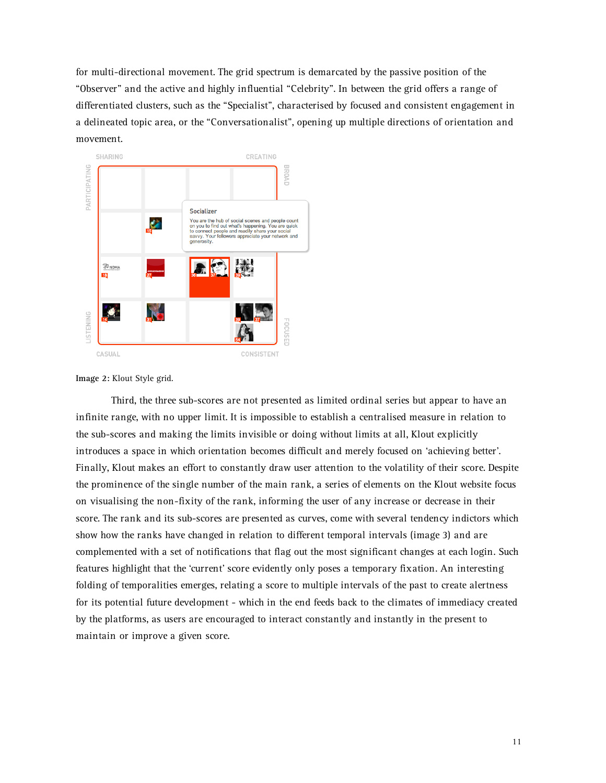for multi-directional movement. The grid spectrum is demarcated by the passive position of the "Observer" and the active and highly influential "Celebrity". In between the grid offers a range of differentiated clusters, such as the "Specialist", characterised by focused and consistent engagement in a delineated topic area, or the "Conversationalist", opening up multiple directions of orientation and movement.





Third, the three sub-scores are not presented as limited ordinal series but appear to have an infinite range, with no upper limit. It is impossible to establish a centralised measure in relation to the sub-scores and making the limits invisible or doing without limits at all, Klout explicitly introduces a space in which orientation becomes difficult and merely focused on 'achieving better'. Finally, Klout makes an effort to constantly draw user attention to the volatility of their score. Despite the prominence of the single number of the main rank, a series of elements on the Klout website focus on visualising the non-fixity of the rank, informing the user of any increase or decrease in their score. The rank and its sub-scores are presented as curves, come with several tendency indictors which show how the ranks have changed in relation to different temporal intervals (image 3) and are complemented with a set of notifications that flag out the most significant changes at each login. Such features highlight that the 'current' score evidently only poses a temporary fixation. An interesting folding of temporalities emerges, relating a score to multiple intervals of the past to create alertness for its potential future development - which in the end feeds back to the climates of immediacy created by the platforms, as users are encouraged to interact constantly and instantly in the present to maintain or improve a given score.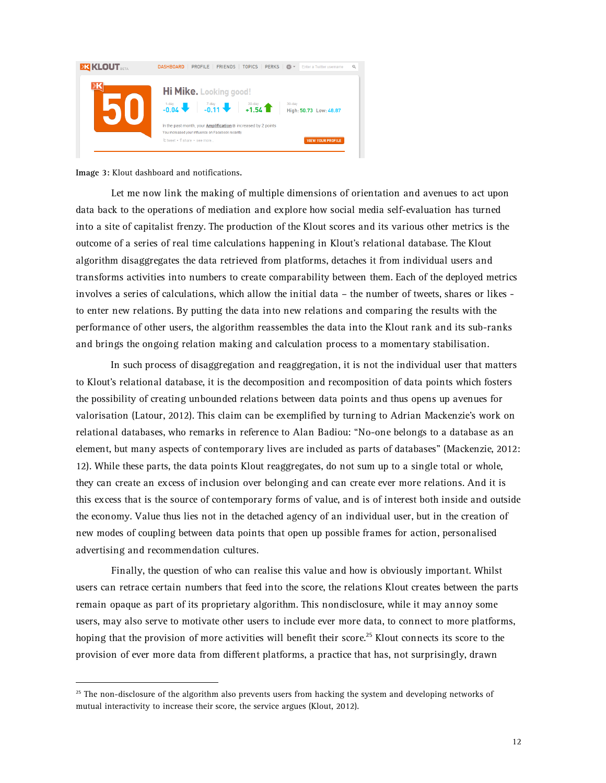

**Image 3:** Klout dashboard and notifications.

Let me now link the making of multiple dimensions of orientation and avenues to act upon data back to the operations of mediation and explore how social media self-evaluation has turned into a site of capitalist frenzy. The production of the Klout scores and its various other metrics is the outcome of a series of real time calculations happening in Klout's relational database. The Klout algorithm disaggregates the data retrieved from platforms, detaches it from individual users and transforms activities into numbers to create comparability between them. Each of the deployed metrics involves a series of calculations, which allow the initial data – the number of tweets, shares or likes to enter new relations. By putting the data into new relations and comparing the results with the performance of other users, the algorithm reassembles the data into the Klout rank and its sub-ranks and brings the ongoing relation making and calculation process to a momentary stabilisation.

In such process of disaggregation and reaggregation, it is not the individual user that matters to Klout's relational database, it is the decomposition and recomposition of data points which fosters the possibility of creating unbounded relations between data points and thus opens up avenues for valorisation (Latour, 2012). This claim can be exemplified by turning to Adrian Mackenzie's work on relational databases, who remarks in reference to Alan Badiou: "No-one belongs to a database as an element, but many aspects of contemporary lives are included as parts of databases" (Mackenzie, 2012: 12). While these parts, the data points Klout reaggregates, do not sum up to a single total or whole, they can create an excess of inclusion over belonging and can create ever more relations. And it is this excess that is the source of contemporary forms of value, and is of interest both inside and outside the economy. Value thus lies not in the detached agency of an individual user, but in the creation of new modes of coupling between data points that open up possible frames for action, personalised advertising and recommendation cultures.

Finally, the question of who can realise this value and how is obviously important. Whilst users can retrace certain numbers that feed into the score, the relations Klout creates between the parts remain opaque as part of its proprietary algorithm. This nondisclosure, while it may annoy some users, may also serve to motivate other users to include ever more data, to connect to more platforms, hoping that the provision of more activities will benefit their score.<sup>25</sup> Klout connects its score to the provision of ever more data from different platforms, a practice that has, not surprisingly, drawn

 $25$  The non-disclosure of the algorithm also prevents users from hacking the system and developing networks of mutual interactivity to increase their score, the service argues (Klout, 2012).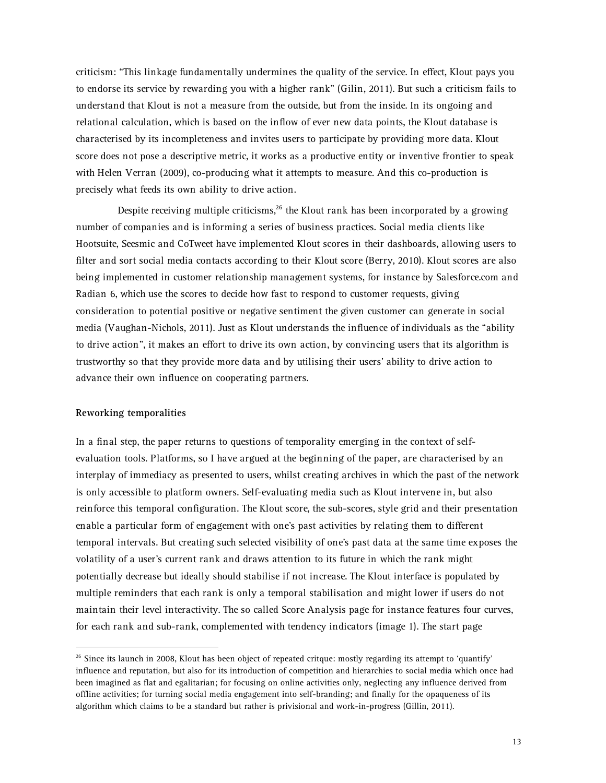criticism: "This linkage fundamentally undermines the quality of the service. In effect, Klout pays you to endorse its service by rewarding you with a higher rank" (Gilin, 2011). But such a criticism fails to understand that Klout is not a measure from the outside, but from the inside. In its ongoing and relational calculation, which is based on the inflow of ever new data points, the Klout database is characterised by its incompleteness and invites users to participate by providing more data. Klout score does not pose a descriptive metric, it works as a productive entity or inventive frontier to speak with Helen Verran (2009), co-producing what it attempts to measure. And this co-production is precisely what feeds its own ability to drive action.

Despite receiving multiple criticisms,<sup>26</sup> the Klout rank has been incorporated by a growing number of companies and is informing a series of business practices. Social media clients like Hootsuite, Seesmic and CoTweet have implemented Klout scores in their dashboards, allowing users to filter and sort social media contacts according to their Klout score (Berry, 2010). Klout scores are also being implemented in customer relationship management systems, for instance by Salesforce.com and Radian 6, which use the scores to decide how fast to respond to customer requests, giving consideration to potential positive or negative sentiment the given customer can generate in social media (Vaughan-Nichols, 2011). Just as Klout understands the influence of individuals as the "ability to drive action", it makes an effort to drive its own action, by convincing users that its algorithm is trustworthy so that they provide more data and by utilising their users' ability to drive action to advance their own influence on cooperating partners.

# **Reworking temporalities**

In a final step, the paper returns to questions of temporality emerging in the context of selfevaluation tools. Platforms, so I have argued at the beginning of the paper, are characterised by an interplay of immediacy as presented to users, whilst creating archives in which the past of the network is only accessible to platform owners. Self-evaluating media such as Klout intervene in, but also reinforce this temporal configuration. The Klout score, the sub-scores, style grid and their presentation enable a particular form of engagement with one's past activities by relating them to different temporal intervals. But creating such selected visibility of one's past data at the same time exposes the volatility of a user's current rank and draws attention to its future in which the rank might potentially decrease but ideally should stabilise if not increase. The Klout interface is populated by multiple reminders that each rank is only a temporal stabilisation and might lower if users do not maintain their level interactivity. The so called Score Analysis page for instance features four curves, for each rank and sub-rank, complemented with tendency indicators (image 1). The start page

 $^{26}$  Since its launch in 2008, Klout has been object of repeated critque: mostly regarding its attempt to 'quantify' influence and reputation, but also for its introduction of competition and hierarchies to social media which once had been imagined as flat and egalitarian; for focusing on online activities only, neglecting any influence derived from offline activities; for turning social media engagement into self-branding; and finally for the opaqueness of its algorithm which claims to be a standard but rather is privisional and work-in-progress (Gillin, 2011).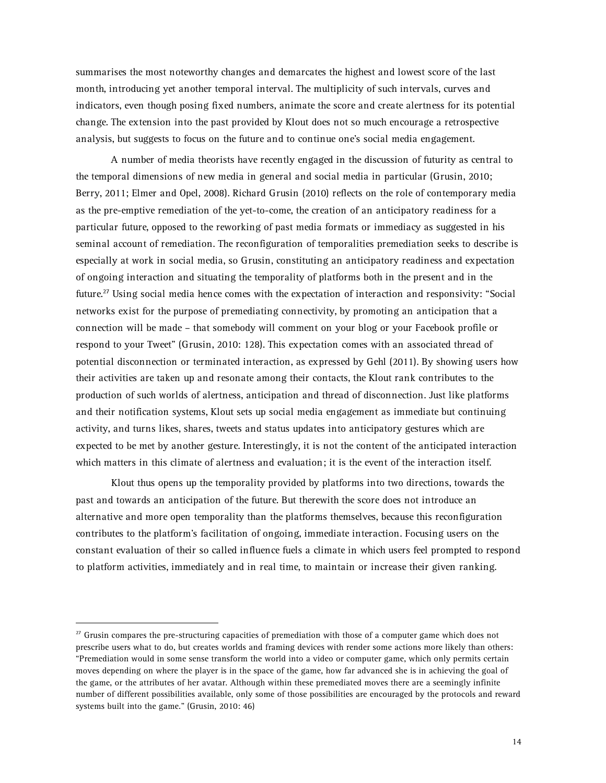summarises the most noteworthy changes and demarcates the highest and lowest score of the last month, introducing yet another temporal interval. The multiplicity of such intervals, curves and indicators, even though posing fixed numbers, animate the score and create alertness for its potential change. The extension into the past provided by Klout does not so much encourage a retrospective analysis, but suggests to focus on the future and to continue one's social media engagement.

A number of media theorists have recently engaged in the discussion of futurity as central to the temporal dimensions of new media in general and social media in particular (Grusin, 2010; Berry, 2011; Elmer and Opel, 2008). Richard Grusin (2010) reflects on the role of contemporary media as the pre-emptive remediation of the yet-to-come, the creation of an anticipatory readiness for a particular future, opposed to the reworking of past media formats or immediacy as suggested in his seminal account of remediation. The reconfiguration of temporalities premediation seeks to describe is especially at work in social media, so Grusin, constituting an anticipatory readiness and expectation of ongoing interaction and situating the temporality of platforms both in the present and in the future.27 Using social media hence comes with the expectation of interaction and responsivity: "Social networks exist for the purpose of premediating connectivity, by promoting an anticipation that a connection will be made – that somebody will comment on your blog or your Facebook profile or respond to your Tweet" (Grusin, 2010: 128). This expectation comes with an associated thread of potential disconnection or terminated interaction, as expressed by Gehl (2011). By showing users how their activities are taken up and resonate among their contacts, the Klout rank contributes to the production of such worlds of alertness, anticipation and thread of disconnection. Just like platforms and their notification systems, Klout sets up social media engagement as immediate but continuing activity, and turns likes, shares, tweets and status updates into anticipatory gestures which are expected to be met by another gesture. Interestingly, it is not the content of the anticipated interaction which matters in this climate of alertness and evaluation; it is the event of the interaction itself.

Klout thus opens up the temporality provided by platforms into two directions, towards the past and towards an anticipation of the future. But therewith the score does not introduce an alternative and more open temporality than the platforms themselves, because this reconfiguration contributes to the platform's facilitation of ongoing, immediate interaction. Focusing users on the constant evaluation of their so called influence fuels a climate in which users feel prompted to respond to platform activities, immediately and in real time, to maintain or increase their given ranking.

 $27$  Grusin compares the pre-structuring capacities of premediation with those of a computer game which does not prescribe users what to do, but creates worlds and framing devices with render some actions more likely than others: "Premediation would in some sense transform the world into a video or computer game, which only permits certain moves depending on where the player is in the space of the game, how far advanced she is in achieving the goal of the game, or the attributes of her avatar. Although within these premediated moves there are a seemingly infinite number of different possibilities available, only some of those possibilities are encouraged by the protocols and reward systems built into the game." (Grusin, 2010: 46)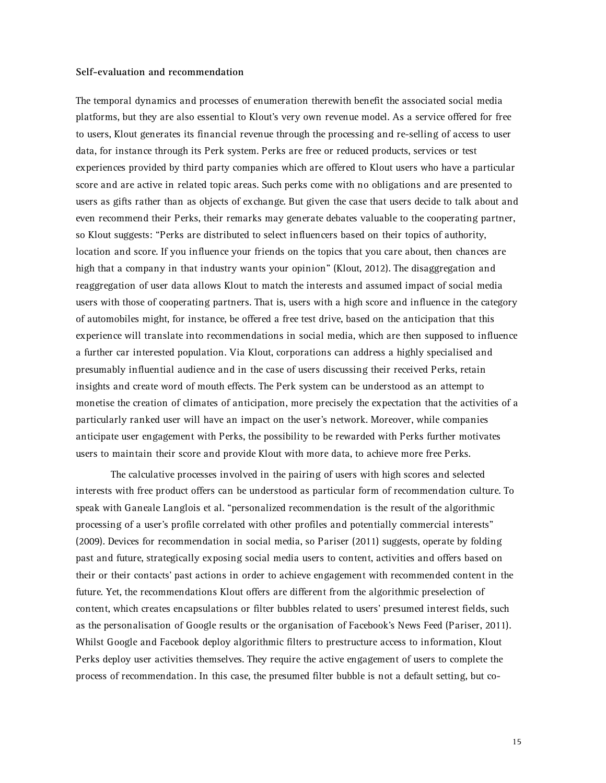# **Self-evaluation and recommendation**

The temporal dynamics and processes of enumeration therewith benefit the associated social media platforms, but they are also essential to Klout's very own revenue model. As a service offered for free to users, Klout generates its financial revenue through the processing and re-selling of access to user data, for instance through its Perk system. Perks are free or reduced products, services or test experiences provided by third party companies which are offered to Klout users who have a particular score and are active in related topic areas. Such perks come with no obligations and are presented to users as gifts rather than as objects of exchange. But given the case that users decide to talk about and even recommend their Perks, their remarks may generate debates valuable to the cooperating partner, so Klout suggests: "Perks are distributed to select influencers based on their topics of authority, location and score. If you influence your friends on the topics that you care about, then chances are high that a company in that industry wants your opinion" (Klout, 2012). The disaggregation and reaggregation of user data allows Klout to match the interests and assumed impact of social media users with those of cooperating partners. That is, users with a high score and influence in the category of automobiles might, for instance, be offered a free test drive, based on the anticipation that this experience will translate into recommendations in social media, which are then supposed to influence a further car interested population. Via Klout, corporations can address a highly specialised and presumably influential audience and in the case of users discussing their received Perks, retain insights and create word of mouth effects. The Perk system can be understood as an attempt to monetise the creation of climates of anticipation, more precisely the expectation that the activities of a particularly ranked user will have an impact on the user's network. Moreover, while companies anticipate user engagement with Perks, the possibility to be rewarded with Perks further motivates users to maintain their score and provide Klout with more data, to achieve more free Perks.

The calculative processes involved in the pairing of users with high scores and selected interests with free product offers can be understood as particular form of recommendation culture. To speak with Ganeale Langlois et al. "personalized recommendation is the result of the algorithmic processing of a user's profile correlated with other profiles and potentially commercial interests" (2009). Devices for recommendation in social media, so Pariser (2011) suggests, operate by folding past and future, strategically exposing social media users to content, activities and offers based on their or their contacts' past actions in order to achieve engagement with recommended content in the future. Yet, the recommendations Klout offers are different from the algorithmic preselection of content, which creates encapsulations or filter bubbles related to users' presumed interest fields, such as the personalisation of Google results or the organisation of Facebook's News Feed (Pariser, 2011). Whilst Google and Facebook deploy algorithmic filters to prestructure access to information, Klout Perks deploy user activities themselves. They require the active engagement of users to complete the process of recommendation. In this case, the presumed filter bubble is not a default setting, but co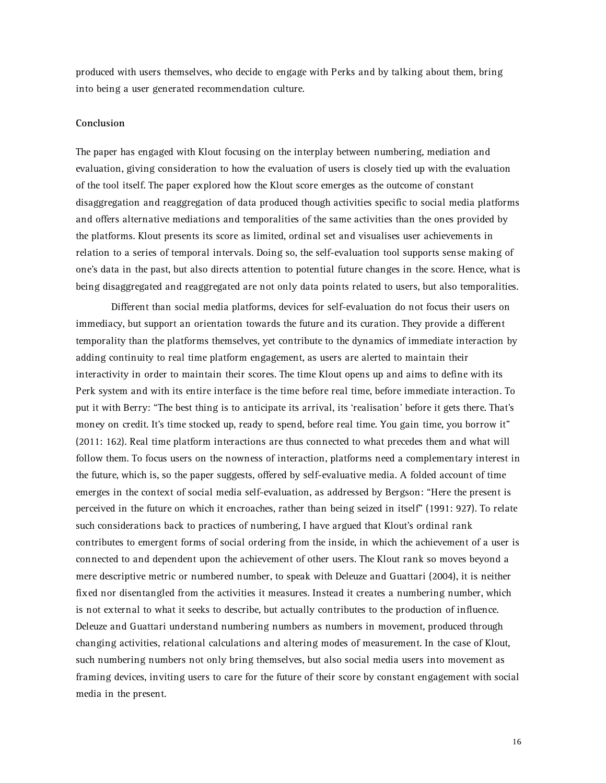produced with users themselves, who decide to engage with Perks and by talking about them, bring into being a user generated recommendation culture.

# **Conclusion**

The paper has engaged with Klout focusing on the interplay between numbering, mediation and evaluation, giving consideration to how the evaluation of users is closely tied up with the evaluation of the tool itself. The paper explored how the Klout score emerges as the outcome of constant disaggregation and reaggregation of data produced though activities specific to social media platforms and offers alternative mediations and temporalities of the same activities than the ones provided by the platforms. Klout presents its score as limited, ordinal set and visualises user achievements in relation to a series of temporal intervals. Doing so, the self-evaluation tool supports sense making of one's data in the past, but also directs attention to potential future changes in the score. Hence, what is being disaggregated and reaggregated are not only data points related to users, but also temporalities.

Different than social media platforms, devices for self-evaluation do not focus their users on immediacy, but support an orientation towards the future and its curation. They provide a different temporality than the platforms themselves, yet contribute to the dynamics of immediate interaction by adding continuity to real time platform engagement, as users are alerted to maintain their interactivity in order to maintain their scores. The time Klout opens up and aims to define with its Perk system and with its entire interface is the time before real time, before immediate interaction. To put it with Berry: "The best thing is to anticipate its arrival, its 'realisation' before it gets there. That's money on credit. It's time stocked up, ready to spend, before real time. You gain time, you borrow it" (2011: 162). Real time platform interactions are thus connected to what precedes them and what will follow them. To focus users on the nowness of interaction, platforms need a complementary interest in the future, which is, so the paper suggests, offered by self-evaluative media. A folded account of time emerges in the context of social media self-evaluation, as addressed by Bergson: "Here the present is perceived in the future on which it encroaches, rather than being seized in itself" (1991: 927). To relate such considerations back to practices of numbering, I have argued that Klout's ordinal rank contributes to emergent forms of social ordering from the inside, in which the achievement of a user is connected to and dependent upon the achievement of other users. The Klout rank so moves beyond a mere descriptive metric or numbered number, to speak with Deleuze and Guattari (2004), it is neither fixed nor disentangled from the activities it measures. Instead it creates a numbering number, which is not external to what it seeks to describe, but actually contributes to the production of influence. Deleuze and Guattari understand numbering numbers as numbers in movement, produced through changing activities, relational calculations and altering modes of measurement. In the case of Klout, such numbering numbers not only bring themselves, but also social media users into movement as framing devices, inviting users to care for the future of their score by constant engagement with social media in the present.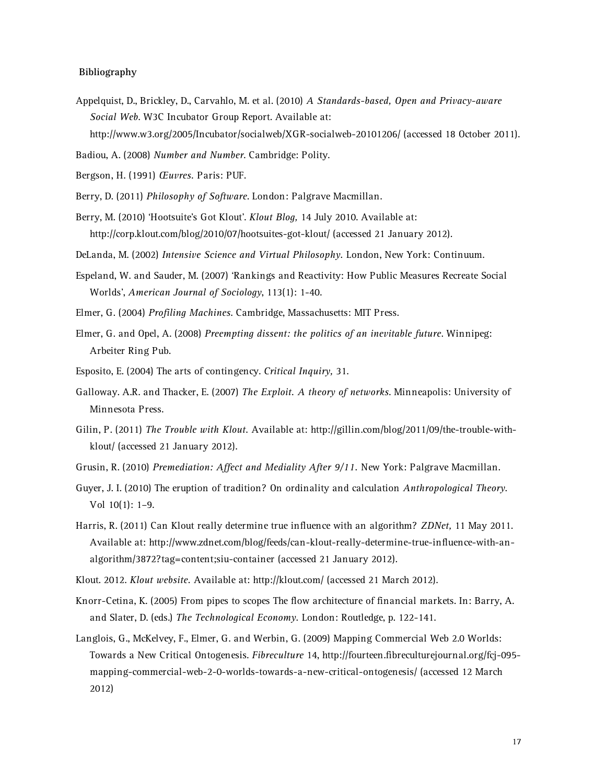# **Bibliography**

- Appelquist, D., Brickley, D., Carvahlo, M. et al. (2010) *A Standards-based, Open and Privacy-aware Social Web*. W3C Incubator Group Report. Available at: http://www.w3.org/2005/Incubator/socialweb/XGR-socialweb-20101206/ (accessed 18 October 2011).
- Badiou, A. (2008) *Number and Number*. Cambridge: Polity.
- Bergson, H. (1991) *Œuvres.* Paris: PUF.
- Berry, D. (2011) *Philosophy of Software*. London: Palgrave Macmillan.
- Berry, M. (2010) 'Hootsuite's Got Klout'. *Klout Blog,* 14 July 2010. Available at: http://corp.klout.com/blog/2010/07/hootsuites-got-klout/ (accessed 21 January 2012).
- DeLanda, M. (2002) *Intensive Science and Virtual Philosophy.* London, New York: Continuum.
- Espeland, W. and Sauder, M. (2007) 'Rankings and Reactivity: How Public Measures Recreate Social Worlds', *American Journal of Sociology*, 113(1): 1-40.
- Elmer, G. (2004) *Profiling Machines*. Cambridge, Massachusetts: MIT Press.
- Elmer, G. and Opel, A. (2008) *Preempting dissent: the politics of an inevitable future*. Winnipeg: Arbeiter Ring Pub.
- Esposito, E. (2004) The arts of contingency. *Critical Inquiry,* 31.
- Galloway. A.R. and Thacker, E. (2007) *The Exploit. A theory of networks*. Minneapolis: University of Minnesota Press.
- Gilin, P. (2011) *The Trouble with Klout.* Available at: http://gillin.com/blog/2011/09/the-trouble-withklout/ (accessed 21 January 2012).
- Grusin, R. (2010) *Premediation: Affect and Mediality After 9/11.* New York: Palgrave Macmillan.
- Guyer, J. I. (2010) The eruption of tradition? On ordinality and calculation *Anthropological Theory*. Vol 10(1): 1–9.
- Harris, R. (2011) Can Klout really determine true influence with an algorithm? *ZDNet,* 11 May 2011. Available at: http://www.zdnet.com/blog/feeds/can-klout-really-determine-true-influence-with-analgorithm/3872?tag=content;siu-container (accessed 21 January 2012).
- Klout. 2012. *Klout website.* Available at: http://klout.com/ (accessed 21 March 2012).
- Knorr-Cetina, K. (2005) From pipes to scopes The flow architecture of financial markets. In: Barry, A. and Slater, D. (eds.) *The Technological Economy.* London: Routledge, p. 122-141.
- Langlois, G., McKelvey, F., Elmer, G. and Werbin, G. (2009) Mapping Commercial Web 2.0 Worlds: Towards a New Critical Ontogenesis. *Fibreculture* 14, http://fourteen.fibreculturejournal.org/fcj-095 mapping-commercial-web-2-0-worlds-towards-a-new-critical-ontogenesis/ (accessed 12 March 2012)